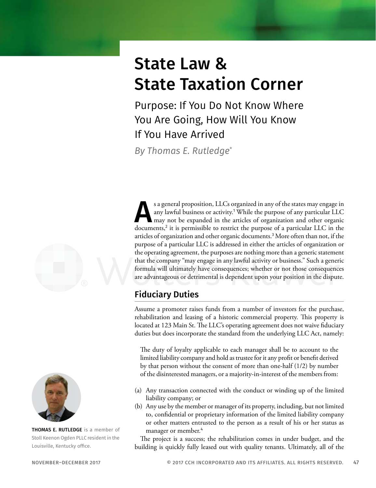# State Law & State Taxation Corner

Purpose: If You Do Not Know Where You Are Going, How Will You Know If You Have Arrived

*By Thomas E. Rutledge*\*

s a general proposition, LLCs organized in any of the states may engage in<br>any lawful business or activity.<sup>1</sup> While the purpose of any particular LLC<br>may not be expanded in the articles of organization and other organic<br>d any lawful business or activity.<sup>1</sup> While the purpose of any particular LLC may not be expanded in the articles of organization and other organic documents,<sup>2</sup> it is permissible to restrict the purpose of a particular LLC in the articles of organization and other organic documents.<sup>3</sup> More often than not, if the purpose of a particular LLC is addressed in either the articles of organization or the operating agreement, the purposes are nothing more than a generic statement that the company "may engage in any lawful activity or business." Such a generic formula will ultimately have consequences; whether or not those consequences are advantageous or detrimental is dependent upon your position in the dispute.

## Fiduciary Duties

Assume a promoter raises funds from a number of investors for the purchase, rehabilitation and leasing of a historic commercial property. This property is located at 123 Main St. The LLC's operating agreement does not waive fiduciary duties but does incorporate the standard from the underlying LLC Act, namely:

The duty of loyalty applicable to each manager shall be to account to the limited liability company and hold as trustee for it any profit or benefit derived by that person without the consent of more than one-half (1/2) by number of the disinterested managers, or a majority-in-interest of the members from:

- (a) Any transaction connected with the conduct or winding up of the limited liability company; or
- (b) Any use by the member or manager of its property, including, but not limited to, confidential or proprietary information of the limited liability company or other matters entrusted to the person as a result of his or her status as manager or member.<sup>4</sup>

The project is a success; the rehabilitation comes in under budget, and the building is quickly fully leased out with quality tenants. Ultimately, all of the





THOMAS E. RUTLEDGE is a member of Stoll Keenon Ogden PLLC resident in the Louisville, Kentucky office.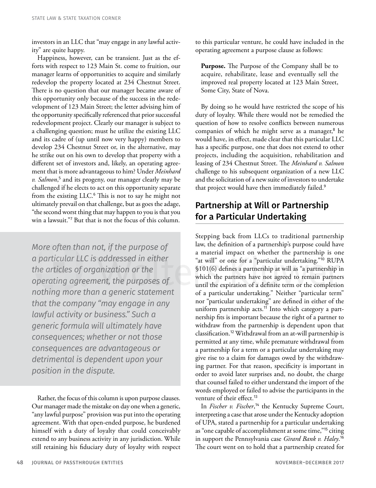investors in an LLC that "may engage in any lawful activity" are quite happy.

Happiness, however, can be transient. Just as the efforts with respect to 123 Main St. come to fruition, our manager learns of opportunities to acquire and similarly redevelop the property located at 234 Chestnut Street. There is no question that our manager became aware of this opportunity only because of the success in the redevelopment of 123 Main Street; the letter advising him of the opportunity specifically referenced that prior successful redevelopment project. Clearly our manager is subject to a challenging question; must he utilize the existing LLC and its cadre of (up until now very happy) members to develop 234 Chestnut Street or, in the alternative, may he strike out on his own to develop that property with a different set of investors and, likely, an operating agreement that is more advantageous to him? Under *Meinhard*  v. Salmon,<sup>5</sup> and its progeny, our manager clearly may be challenged if he elects to act on this opportunity separate from the existing LLC.<sup>6</sup> This is not to say he might not ultimately prevail on that challenge, but as goes the adage, "the second worst thing that may happen to you is that you win a lawsuit."<sup>7</sup> But that is not the focus of this column.

*More often than not, if the purpose of a particular LLC is addressed in either the articles of organization or the operating agreement, the purposes of nothing more than a generic statement that the company "may engage in any lawful activity or business." Such a generic formula will ultimately have consequences; whether or not those consequences are advantageous or detrimental is dependent upon your position in the dispute.*

Rather, the focus of this column is upon purpose clauses. Our manager made the mistake on day one when a generic, "any lawful purpose" provision was put into the operating agreement. With that open-ended purpose, he burdened himself with a duty of loyalty that could conceivably extend to any business activity in any jurisdiction. While still retaining his fiduciary duty of loyalty with respect to this particular venture, he could have included in the operating agreement a purpose clause as follows:

**Purpose.** The Purpose of the Company shall be to acquire, rehabilitate, lease and eventually sell the improved real property located at 123 Main Street, Some City, State of Nova.

By doing so he would have restricted the scope of his duty of loyalty. While there would not be remedied the question of how to resolve conflicts between numerous companies of which he might serve as a manager,<sup>8</sup> he would have, in effect, made clear that this particular LLC has a specific purpose, one that does not extend to other projects, including the acquisition, rehabilitation and leasing of 234 Chestnut Street. The *Meinhard v. Salmon* challenge to his subsequent organization of a new LLC and the solicitation of a new suite of investors to undertake that project would have then immediately failed.<sup>9</sup>

### Partnership at Will or Partnership for a Particular Undertaking

Stepping back from LLCs to traditional partnership law, the definition of a partnership's purpose could have a material impact on whether the partnership is one "at will" or one for a "particular undertaking."<sup>10</sup> RUPA §101(6) defines a partnership at will as "a partnership in which the partners have not agreed to remain partners until the expiration of a definite term or the completion of a particular undertaking." Neither "particular term" nor "particular undertaking" are defined in either of the uniform partnership acts.<sup>11</sup> Into which category a partnership fits is important because the right of a partner to withdraw from the partnership is dependent upon that classification.<sup>12</sup> Withdrawal from an at-will partnership is permitted at any time, while premature withdrawal from a partnership for a term or a particular undertaking may give rise to a claim for damages owed by the withdrawing partner. For that reason, specificity is important in order to avoid later surprises and, no doubt, the charge that counsel failed to either understand the import of the words employed or failed to advise the participants in the venture of their effect.<sup>13</sup>

In *Fischer v. Fischer*, <sup>14</sup> the Kentucky Supreme Court, interpreting a case that arose under the Kentucky adoption of UPA, stated a partnership for a particular undertaking as "one capable of accomplishment at some time,"<sup>15</sup> citing in support the Pennsylvania case *Girard Bank v. Haley*. 16 The court went on to hold that a partnership created for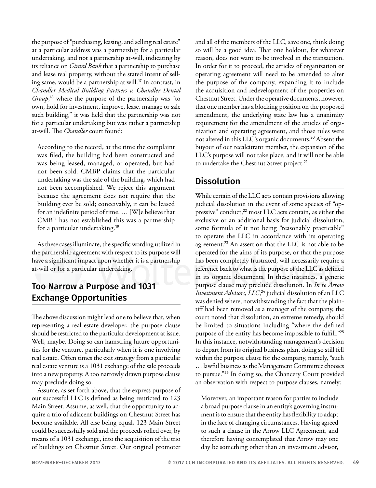the purpose of "purchasing, leasing, and selling real estate" at a particular address was a partnership for a particular undertaking, and not a partnership at-will, indicating by its reliance on *Girard Bank* that a partnership to purchase and lease real property, without the stated intent of selling same, would be a partnership at will.<sup>17</sup> In contrast, in *Chandler Medical Building Partners v. Chandler Dental Group*, <sup>18</sup> where the purpose of the partnership was "to own, hold for investment, improve, lease, manage or sale such building," it was held that the partnership was not for a particular undertaking but was rather a partnership at-will. The *Chandler* court found:

According to the record, at the time the complaint was filed, the building had been constructed and was being leased, managed, or operated, but had not been sold. CMBP claims that the particular undertaking was the sale of the building, which had not been accomplished. We reject this argument because the agreement does not require that the building ever be sold; conceivably, it can be leased for an indefinite period of time. … [W]e believe that CMBP has not established this was a partnership for a particular undertaking.<sup>19</sup>

As these cases illuminate, the specific wording utilized in the partnership agreement with respect to its purpose will have a significant impact upon whether it is a partnership at-will or for a particular undertaking.

#### Too Narrow a Purpose and 1031 Exchange Opportunities

The above discussion might lead one to believe that, when representing a real estate developer, the purpose clause should be restricted to the particular development at issue. Well, maybe. Doing so can hamstring future opportunities for the venture, particularly when it is one involving real estate. Often times the exit strategy from a particular real estate venture is a 1031 exchange of the sale proceeds into a new property. A too narrowly drawn purpose clause may preclude doing so.

Assume, as set forth above, that the express purpose of our successful LLC is defined as being restricted to 123 Main Street. Assume, as well, that the opportunity to acquire a trio of adjacent buildings on Chestnut Street has become available. All else being equal, 123 Main Street could be successfully sold and the proceeds rolled over, by means of a 1031 exchange, into the acquisition of the trio of buildings on Chestnut Street. Our original promoter

and all of the members of the LLC, save one, think doing so will be a good idea. That one holdout, for whatever reason, does not want to be involved in the transaction. In order for it to proceed, the articles of organization or operating agreement will need to be amended to alter the purpose of the company, expanding it to include the acquisition and redevelopment of the properties on Chestnut Street. Under the operative documents, however, that one member has a blocking position on the proposed amendment, the underlying state law has a unanimity requirement for the amendment of the articles of organization and operating agreement, and those rules were not altered in this LLC's organic documents.<sup>20</sup> Absent the buyout of our recalcitrant member, the expansion of the LLC's purpose will not take place, and it will not be able to undertake the Chestnut Street project.<sup>21</sup>

#### Dissolution

While certain of the LLC acts contain provisions allowing judicial dissolution in the event of some species of "oppressive" conduct,<sup>22</sup> most LLC acts contain, as either the exclusive or an additional basis for judicial dissolution, some formula of it not being "reasonably practicable" to operate the LLC in accordance with its operating agreement.<sup>23</sup> An assertion that the LLC is not able to be operated for the aims of its purpose, or that the purpose has been completely frustrated, will necessarily require a reference back to what is the purpose of the LLC as defined in its organic documents. In these instances, a generic purpose clause may preclude dissolution. In *In re Arrow Investment Advisors, LLC*, <sup>24</sup> judicial dissolution of an LLC was denied where, notwithstanding the fact that the plaintiff had been removed as a manager of the company, the court noted that dissolution, an extreme remedy, should be limited to situations including "where the defined purpose of the entity has become impossible to fulfill."<sup>25</sup> In this instance, notwithstanding management's decision to depart from its original business plan, doing so still fell within the purpose clause for the company, namely, "such … lawful business as the Management Committee chooses to pursue."<sup>26</sup> In doing so, the Chancery Court provided an observation with respect to purpose clauses, namely:

Moreover, an important reason for parties to include a broad purpose clause in an entity's governing instrument is to ensure that the entity has flexibility to adapt in the face of changing circumstances. Having agreed to such a clause in the Arrow LLC Agreement, and therefore having contemplated that Arrow may one day be something other than an investment advisor,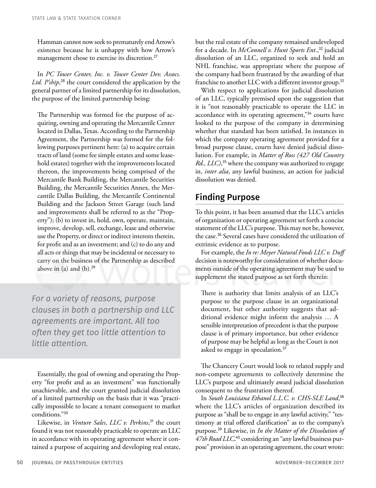Hamman cannot now seek to prematurely end Arrow's existence because he is unhappy with how Arrow's management chose to exercise its discretion.<sup>27</sup>

In *PC Tower Center, Inc. v. Tower Center Dev. Assocs. Ltd. P'ship*, <sup>28</sup> the court considered the application by the general partner of a limited partnership for its dissolution, the purpose of the limited partnership being:

The Partnership was formed for the purpose of acquiring, owning and operating the Mercantile Center located in Dallas, Texas. According to the Partnership Agreement, the Partnership was formed for the following purposes pertinent here: (a) to acquire certain tracts of land (some fee simple estates and some leasehold estates) together with the improvements located thereon, the improvements being comprised of the Mercantile Bank Building, the Mercantile Securities Building, the Mercantile Securities Annex, the Mercantile Dallas Building, the Mercantile Continental Building and the Jackson Street Garage (such land and improvements shall be referred to as the "Property"); (b) to invest in, hold, own, operate, maintain, improve, develop, sell, exchange, lease and otherwise use the Property, or direct or indirect interests therein, for profit and as an investment; and (c) to do any and all acts or things that may be incidental or necessary to carry on the business of the Partnership as described above in (a) and  $(b).<sup>29</sup>$ 

*For a variety of reasons, purpose clauses in both a partnership and LLC agreements are important. All too often they get too little attention to little attention.*

Essentially, the goal of owning and operating the Property "for profit and as an investment" was functionally unachievable, and the court granted judicial dissolution of a limited partnership on the basis that it was "practically impossible to locate a tenant consequent to market conditions."<sup>30</sup>

Likewise, in *Venture Sales, LLC v. Perkins*, <sup>31</sup> the court found it was not reasonably practicable to operate an LLC in accordance with its operating agreement where it contained a purpose of acquiring and developing real estate,

but the real estate of the company remained undeveloped for a decade. In *McConnell v. Hunt Sports Ent*.,<sup>32</sup> judicial dissolution of an LLC, organized to seek and hold an NHL franchise, was appropriate where the purpose of the company had been frustrated by the awarding of that franchise to another LLC with a different investor group.<sup>33</sup>

With respect to applications for judicial dissolution of an LLC, typically premised upon the suggestion that it is "not reasonably practicable to operate the LLC in accordance with its operating agreement,"34 courts have looked to the purpose of the company in determining whether that standard has been satisfied. In instances in which the company operating agreement provided for a broad purpose clause, courts have denied judicial dissolution. For example, in *Matter of Ross (427 Old Country Rd., LLC)*, <sup>35</sup> where the company was authorized to engage in, *inter alia*, any lawful business, an action for judicial dissolution was denied.

#### Finding Purpose

To this point, it has been assumed that the LLC's articles of organization or operating agreement set forth a concise statement of the LLC's purpose. This may not be, however, the case.<sup>36</sup> Several cases have considered the utilization of extrinsic evidence as to purpose.

For example, the *In re: Meyer Natural Foods LLC v. Duff* decision is noteworthy for consideration of whether documents outside of the operating agreement may be used to supplement the stated purpose as set forth therein:

There is authority that limits analysis of an LLC's purpose to the purpose clause in an organizational document, but other authority suggests that additional evidence might inform the analysis … A sensible interpretation of precedent is that the purpose clause is of primary importance, but other evidence of purpose may be helpful as long as the Court is not asked to engage in speculation.<sup>37</sup>

The Chancery Court would look to related supply and non-compete agreements to collectively determine the LLC's purpose and ultimately award judicial dissolution consequent to the frustration thereof.

In *South Louisiana Ethanol L.L.C. v. CHS-SLE Land*, 38 where the LLC's articles of organization described its purpose as "shall be to engage in any lawful activity," "testimony at trial offered clarification" as to the company's purpose.<sup>39</sup> Likewise, in *In the Matter of the Dissolution of*  4*7th Road LLC*,<sup>40</sup> considering an "any lawful business purpose" provision in an operating agreement, the court wrote: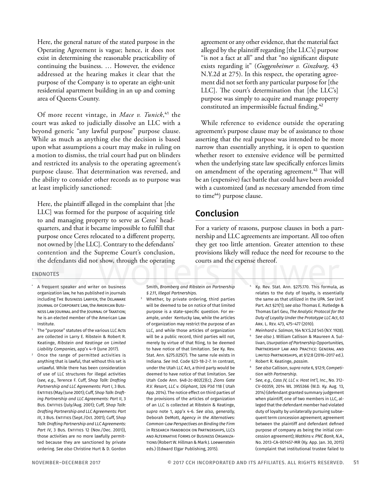Here, the general nature of the stated purpose in the Operating Agreement is vague; hence, it does not exist in determining the reasonable practicability of continuing the business. … However, the evidence addressed at the hearing makes it clear that the purpose of the Company is to operate an eight-unit residential apartment building in an up and coming area of Queens County.

Of more recent vintage, in *Mace v. Tunick*, <sup>41</sup> the court was asked to judicially dissolve an LLC with a beyond generic "any lawful purpose" purpose clause. While as much as anything else the decision is based upon what assumptions a court may make in ruling on a motion to dismiss, the trial court had put on blinders and restricted its analysis to the operating agreement's purpose clause. That determination was reversed, and the ability to consider other records as to purpose was at least implicitly sanctioned:

Here, the plaintiff alleged in the complaint that [the LLC] was formed for the purpose of acquiring title to and managing property to serve as Ceres' headquarters, and that it became impossible to fulfill that purpose once Ceres relocated to a different property, not owned by [the LLC]. Contrary to the defendants' contention and the Supreme Court's conclusion, the defendants did not show, through the operating

#### ENDNOTES

- A frequent speaker and writer on business organization law, he has published in journals including The Business Lawyer, the Delaware Journal of Corporate Law, the American Business Law Journal and the Journal of Taxation; he is an elected member of the American Law Institute.
- <sup>1</sup> The "purpose" statutes of the various LLC Acts are collected in Larry E. Ribstein & Robert R. Keatinge, *Ribstein and Keatinge on Limited Liability Companies*, app'x 4–9 (June 2017).
- Once the range of permitted activities is anything that is lawful, that without this set is unlawful. While there has been consideration of use of LLC structures for illegal activities (*see*, *e.g.*, Terence F. Cuff, *Shop Talk: Drafting Partnership and LLC Agreements: Part I*, 3 Bus. Entities (May/June 2001); Cuff, *Shop Talk: Drafting Partnership and LLC Agreements: Part II*, 3 Bus. ENTITIES (July/Aug. 2001); Cuff, *Shop Talk: Drafting Partnership and LLC Agreements: Part III*, 3 Bus. Entities (Sept./Oct. 2001); Cuff, *Shop Talk: Drafting Partnership and LLC Agreements:*  Part *IV*, 3 Bus. ENTITIES 12 (Nov./Dec. 2001)), those activities are no more lawfully permitted because they are sanctioned by private ordering. *See also* Christine Hurt & D. Gordon

agreement or any other evidence, that the material fact alleged by the plaintiff regarding [the LLC's] purpose "is not a fact at all" and that "no significant dispute exists regarding it" (*Guggenheimer v. Ginzburg*, 43 N.Y.2d at 275). In this respect, the operating agreement did not set forth any particular purpose for [the LLC]. The court's determination that [the LLC's] purpose was simply to acquire and manage property constituted an impermissible factual finding.<sup>42</sup>

While reference to evidence outside the operating agreement's purpose clause may be of assistance to those asserting that the real purpose was intended to be more narrow than essentially anything, it is open to question whether resort to extensive evidence will be permitted when the underlying state law specifically enforces limits on amendment of the operating agreement.<sup>43</sup> That will be an (expensive) fact battle that could have been avoided with a customized (and as necessary amended from time to time<sup>44</sup>) purpose clause.

#### Conclusion

For a variety of reasons, purpose clauses in both a partnership and LLC agreements are important. All too often they get too little attention. Greater attention to these provisions likely will reduce the need for recourse to the courts and the expense thereof.

Smith, *Bromberg and Ribstein on Partnership § 2.11*, *Illegal Partnerships*.

- Whether, by private ordering, third parties will be deemed to be on notice of that limited purpose is a state-specific question. For example, under Kentucky law, while the articles of organization may restrict the purpose of an LLC, and while those articles of organization will be a public record, third parties will not, merely by virtue of that filing, to be deemed to have notice of that limitation. *See* Ky. Rev. Stat. Ann. §275.025(7). The same rule exists in Indiana. *See* Ind. Code §23-18-2-7. In contrast, under the Utah LLC Act, a third party would be deemed to have notice of that limitation. *See* Utah Code Ann. §48-2c-802(2)(c); *Zions Gate R.V. Resort, LLC v. Oliphant*, 326 P3d 118 ( Utah App. 2014). The notice effect on third parties of the provisions of the articles of organization of an LLC is collected at Ribstein & Keatinge, *supra* note 1, app'x 4-6. *See also, generally,* Deborah DeMott, *Agency in the Alternatives: Common-Law Perspectives on Binding the Firm* in Research Handbook on Partnerships, LLCs and Alternative Forms of Business Organizations (Robert W. Hillman & Mark J. Loewenstein eds.) (Edward Elgar Publishing, 2015).
- Ky. Rev. Stat. Ann. §275.170. This formula, as relates to the duty of loyalty, is essentially the same as that utilized in the UPA. *See* Unif. Part. Act §21(1); *see also* Thomas E. Rutledge & Thomas Earl Geu, *The Analytic Protocol for the Duty of Loyalty Under the Prototype LLC Act*, 63 Ark. L. Rev. 473, 475–477 (2010).
- <sup>5</sup> *Meinhard v. Salmon,* 164 N.Y.S.2d 545 (N.Y. 1928). <sup>6</sup> *See also* J. William Callison & Maureen A. Sullivan, *Usurpation of Partnership Opportunities,* Partnership Law and Practice: General and Limited Partnerships, at §12:8 (2016–2017 ed.).
- <sup>7</sup> Robert R. Keatinge, *passim*.
- <sup>8</sup> *See also* Callison, *supra* note 6, §12:9, *Competition with Partnership*.
- <sup>9</sup> *See*, *e.g.*, *Cass JV, LLC v. Host Int'l, Inc.*, No. 312- CV-00359, 2014 WL 3955366 (W.D. Ky. Aug. 13, 2014) (defendant granted summary judgement when plaintiff, one of two members in LLC, alleged that the defendant member had violated duty of loyalty by unilaterally pursuing subsequent term concession agreement; agreement between the plaintiff and defendant defined purpose of company as being the initial concession agreement); *Watkins v. PNC Bank, N.A*., No. 2013-CA-001457-MR (Ky. App. Jan. 30, 2015) (complaint that institutional trustee failed to